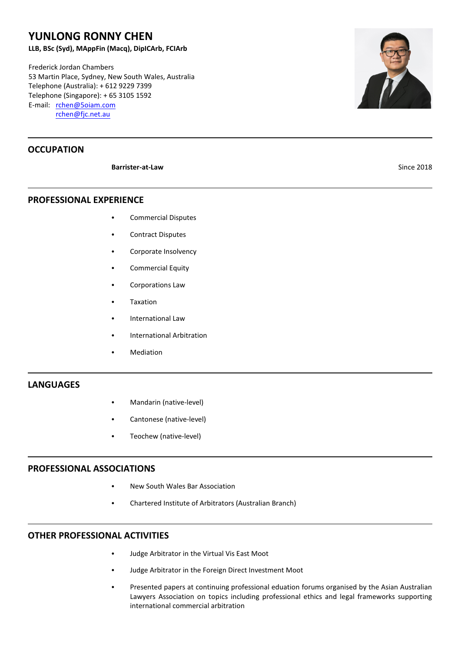# **YUNLONG RONNY CHEN**

**LLB, BSc (Syd), MAppFin (Macq), DipICArb, FCIArb**

Frederick Jordan Chambers 53 Martin Place, Sydney, New South Wales, Australia Telephone (Australia): + 612 9229 7399 Telephone (Singapore): + 65 3105 1592 E-mail: [rchen@5oiam.com](mailto:rchen@5oiam.com) [rchen@fjc.net.au](http://C:/MyFiles/ARBITR~1/CVs/Drafts/CHEN_R~1.JPG)

## **OCCUPATION**

**Barrister-at-Law** Since 2018

**PROFESSIONAL EXPERIENCE**

- **Commercial Disputes**
- **Contract Disputes**
- Corporate Insolvency
- Commercial Equity
- Corporations Law
- **Taxation**
- International Law
- International Arbitration
- **Mediation**

#### **LANGUAGES**

- Mandarin (native-level)
- Cantonese (native-level)
- Teochew (native-level)

#### **PROFESSIONAL ASSOCIATIONS**

- **New South Wales Bar Association**
- Chartered Institute of Arbitrators (Australian Branch)

### **OTHER PROFESSIONAL ACTIVITIES**

- Judge Arbitrator in the Virtual Vis East Moot
- Judge Arbitrator in the Foreign Direct Investment Moot
- Presented papers at continuing professional eduation forums organised by the Asian Australian Lawyers Association on topics including professional ethics and legal frameworks supporting international commercial arbitration